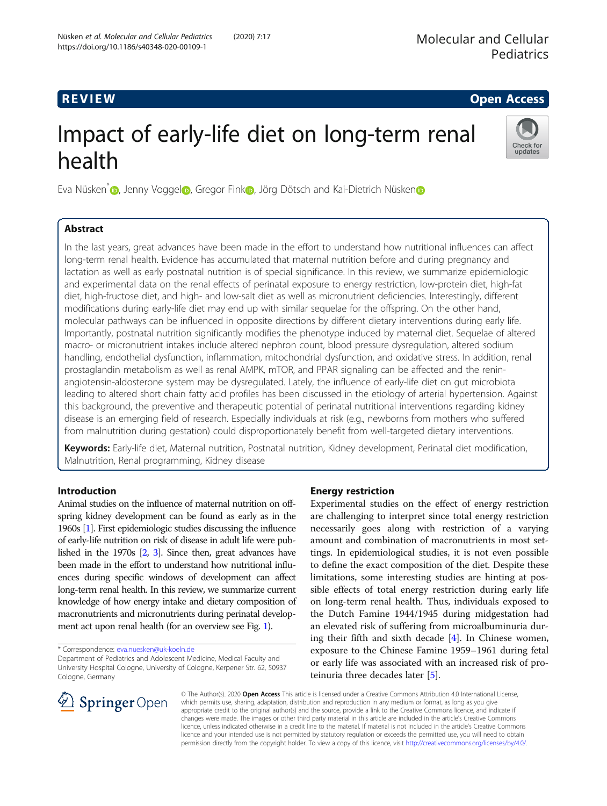# R EVI EW Open Access

# Impact of early-life diet on long-term renal health



Eva Nüsken<sup>\*</sup> D[,](https://orcid.org/0000-0001-7042-1706) Jenny Vogge[l](https://orcid.org/0000-0001-9120-2203) D, Gregor Fi[n](https://orcid.org/0000-0001-5749-7183)k D, Jörg Dötsch and Kai-Dietrich Nüsken D

# Abstract

In the last years, great advances have been made in the effort to understand how nutritional influences can affect long-term renal health. Evidence has accumulated that maternal nutrition before and during pregnancy and lactation as well as early postnatal nutrition is of special significance. In this review, we summarize epidemiologic and experimental data on the renal effects of perinatal exposure to energy restriction, low-protein diet, high-fat diet, high-fructose diet, and high- and low-salt diet as well as micronutrient deficiencies. Interestingly, different modifications during early-life diet may end up with similar sequelae for the offspring. On the other hand, molecular pathways can be influenced in opposite directions by different dietary interventions during early life. Importantly, postnatal nutrition significantly modifies the phenotype induced by maternal diet. Sequelae of altered macro- or micronutrient intakes include altered nephron count, blood pressure dysregulation, altered sodium handling, endothelial dysfunction, inflammation, mitochondrial dysfunction, and oxidative stress. In addition, renal prostaglandin metabolism as well as renal AMPK, mTOR, and PPAR signaling can be affected and the reninangiotensin-aldosterone system may be dysregulated. Lately, the influence of early-life diet on gut microbiota leading to altered short chain fatty acid profiles has been discussed in the etiology of arterial hypertension. Against this background, the preventive and therapeutic potential of perinatal nutritional interventions regarding kidney disease is an emerging field of research. Especially individuals at risk (e.g., newborns from mothers who suffered from malnutrition during gestation) could disproportionately benefit from well-targeted dietary interventions.

Keywords: Early-life diet, Maternal nutrition, Postnatal nutrition, Kidney development, Perinatal diet modification, Malnutrition, Renal programming, Kidney disease

# Introduction

Animal studies on the influence of maternal nutrition on offspring kidney development can be found as early as in the 1960s [\[1\]](#page-5-0). First epidemiologic studies discussing the influence of early-life nutrition on risk of disease in adult life were published in the 1970s [[2](#page-5-0), [3\]](#page-5-0). Since then, great advances have been made in the effort to understand how nutritional influences during specific windows of development can affect long-term renal health. In this review, we summarize current knowledge of how energy intake and dietary composition of macronutrients and micronutrients during perinatal development act upon renal health (for an overview see Fig. [1\)](#page-1-0).

\* Correspondence: [eva.nuesken@uk-koeln.de](mailto:eva.nuesken@uk-koeln.de)

# Energy restriction

Experimental studies on the effect of energy restriction are challenging to interpret since total energy restriction necessarily goes along with restriction of a varying amount and combination of macronutrients in most settings. In epidemiological studies, it is not even possible to define the exact composition of the diet. Despite these limitations, some interesting studies are hinting at possible effects of total energy restriction during early life on long-term renal health. Thus, individuals exposed to the Dutch Famine 1944/1945 during midgestation had an elevated risk of suffering from microalbuminuria during their fifth and sixth decade [\[4\]](#page-5-0). In Chinese women, exposure to the Chinese Famine 1959–1961 during fetal or early life was associated with an increased risk of proteinuria three decades later [\[5](#page-5-0)].



© The Author(s). 2020 Open Access This article is licensed under a Creative Commons Attribution 4.0 International License, which permits use, sharing, adaptation, distribution and reproduction in any medium or format, as long as you give appropriate credit to the original author(s) and the source, provide a link to the Creative Commons licence, and indicate if changes were made. The images or other third party material in this article are included in the article's Creative Commons licence, unless indicated otherwise in a credit line to the material. If material is not included in the article's Creative Commons licence and your intended use is not permitted by statutory regulation or exceeds the permitted use, you will need to obtain permission directly from the copyright holder. To view a copy of this licence, visit <http://creativecommons.org/licenses/by/4.0/>.

Department of Pediatrics and Adolescent Medicine, Medical Faculty and University Hospital Cologne, University of Cologne, Kerpener Str. 62, 50937 Cologne, Germany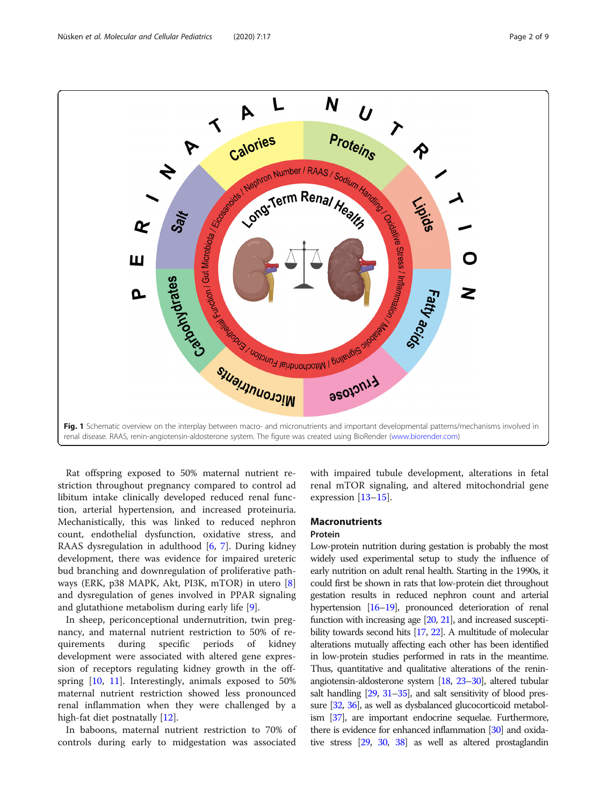<span id="page-1-0"></span>

Rat offspring exposed to 50% maternal nutrient restriction throughout pregnancy compared to control ad libitum intake clinically developed reduced renal function, arterial hypertension, and increased proteinuria. Mechanistically, this was linked to reduced nephron count, endothelial dysfunction, oxidative stress, and RAAS dysregulation in adulthood  $[6, 7]$  $[6, 7]$  $[6, 7]$  $[6, 7]$ . During kidney development, there was evidence for impaired ureteric bud branching and downregulation of proliferative pathways (ERK, p38 MAPK, Akt, PI3K, mTOR) in utero [\[8](#page-5-0)] and dysregulation of genes involved in PPAR signaling and glutathione metabolism during early life [[9\]](#page-5-0).

In sheep, periconceptional undernutrition, twin pregnancy, and maternal nutrient restriction to 50% of requirements during specific periods of kidney development were associated with altered gene expression of receptors regulating kidney growth in the offspring [\[10](#page-5-0), [11](#page-5-0)]. Interestingly, animals exposed to 50% maternal nutrient restriction showed less pronounced renal inflammation when they were challenged by a high-fat diet postnatally [\[12\]](#page-5-0).

In baboons, maternal nutrient restriction to 70% of controls during early to midgestation was associated with impaired tubule development, alterations in fetal renal mTOR signaling, and altered mitochondrial gene expression [[13](#page-6-0)–[15\]](#page-6-0).

# **Macronutrients**

# Protein

Low-protein nutrition during gestation is probably the most widely used experimental setup to study the influence of early nutrition on adult renal health. Starting in the 1990s, it could first be shown in rats that low-protein diet throughout gestation results in reduced nephron count and arterial hypertension [\[16](#page-6-0)–[19](#page-6-0)], pronounced deterioration of renal function with increasing age [[20,](#page-6-0) [21\]](#page-6-0), and increased susceptibility towards second hits [\[17,](#page-6-0) [22](#page-6-0)]. A multitude of molecular alterations mutually affecting each other has been identified in low-protein studies performed in rats in the meantime. Thus, quantitative and qualitative alterations of the reninangiotensin-aldosterone system [\[18](#page-6-0), [23](#page-6-0)–[30](#page-6-0)], altered tubular salt handling [\[29](#page-6-0), [31](#page-6-0)–[35\]](#page-6-0), and salt sensitivity of blood pressure [[32,](#page-6-0) [36](#page-6-0)], as well as dysbalanced glucocorticoid metabolism [\[37\]](#page-6-0), are important endocrine sequelae. Furthermore, there is evidence for enhanced inflammation [\[30](#page-6-0)] and oxidative stress [\[29](#page-6-0), [30](#page-6-0), [38](#page-6-0)] as well as altered prostaglandin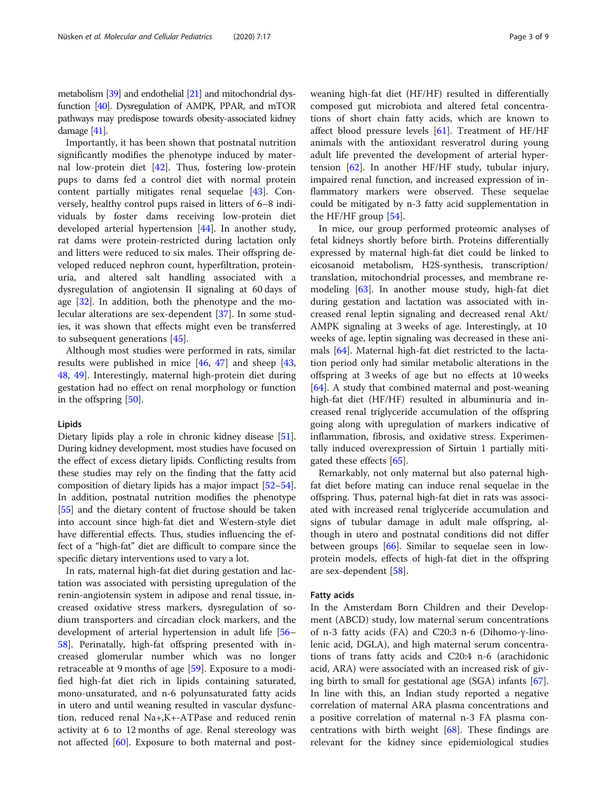metabolism [\[39](#page-6-0)] and endothelial [\[21](#page-6-0)] and mitochondrial dysfunction [\[40\]](#page-6-0). Dysregulation of AMPK, PPAR, and mTOR pathways may predispose towards obesity-associated kidney damage [\[41](#page-6-0)].

Importantly, it has been shown that postnatal nutrition significantly modifies the phenotype induced by maternal low-protein diet [\[42\]](#page-6-0). Thus, fostering low-protein pups to dams fed a control diet with normal protein content partially mitigates renal sequelae [\[43\]](#page-6-0). Conversely, healthy control pups raised in litters of 6–8 individuals by foster dams receiving low-protein diet developed arterial hypertension [[44\]](#page-6-0). In another study, rat dams were protein-restricted during lactation only and litters were reduced to six males. Their offspring developed reduced nephron count, hyperfiltration, proteinuria, and altered salt handling associated with a dysregulation of angiotensin II signaling at 60 days of age [[32](#page-6-0)]. In addition, both the phenotype and the molecular alterations are sex-dependent [[37](#page-6-0)]. In some studies, it was shown that effects might even be transferred to subsequent generations [[45\]](#page-6-0).

Although most studies were performed in rats, similar results were published in mice [[46,](#page-6-0) [47\]](#page-6-0) and sheep [[43](#page-6-0), [48,](#page-6-0) [49](#page-6-0)]. Interestingly, maternal high-protein diet during gestation had no effect on renal morphology or function in the offspring [[50\]](#page-6-0).

# Lipids

Dietary lipids play a role in chronic kidney disease [[51](#page-6-0)]. During kidney development, most studies have focused on the effect of excess dietary lipids. Conflicting results from these studies may rely on the finding that the fatty acid composition of dietary lipids has a major impact [\[52](#page-6-0)–[54](#page-6-0)]. In addition, postnatal nutrition modifies the phenotype [[55](#page-6-0)] and the dietary content of fructose should be taken into account since high-fat diet and Western-style diet have differential effects. Thus, studies influencing the effect of a "high-fat" diet are difficult to compare since the specific dietary interventions used to vary a lot.

In rats, maternal high-fat diet during gestation and lactation was associated with persisting upregulation of the renin-angiotensin system in adipose and renal tissue, increased oxidative stress markers, dysregulation of sodium transporters and circadian clock markers, and the development of arterial hypertension in adult life [[56](#page-7-0)– [58\]](#page-7-0). Perinatally, high-fat offspring presented with increased glomerular number which was no longer retraceable at 9 months of age [\[59](#page-7-0)]. Exposure to a modified high-fat diet rich in lipids containing saturated, mono-unsaturated, and n-6 polyunsaturated fatty acids in utero and until weaning resulted in vascular dysfunction, reduced renal Na+,K+-ATPase and reduced renin activity at 6 to 12 months of age. Renal stereology was not affected [[60](#page-7-0)]. Exposure to both maternal and postweaning high-fat diet (HF/HF) resulted in differentially composed gut microbiota and altered fetal concentrations of short chain fatty acids, which are known to affect blood pressure levels  $[61]$  $[61]$ . Treatment of HF/HF animals with the antioxidant resveratrol during young adult life prevented the development of arterial hypertension [\[62\]](#page-7-0). In another HF/HF study, tubular injury, impaired renal function, and increased expression of inflammatory markers were observed. These sequelae could be mitigated by n-3 fatty acid supplementation in the HF/HF group [[54](#page-6-0)].

In mice, our group performed proteomic analyses of fetal kidneys shortly before birth. Proteins differentially expressed by maternal high-fat diet could be linked to eicosanoid metabolism, H2S-synthesis, transcription/ translation, mitochondrial processes, and membrane remodeling [[63](#page-7-0)]. In another mouse study, high-fat diet during gestation and lactation was associated with increased renal leptin signaling and decreased renal Akt/ AMPK signaling at 3 weeks of age. Interestingly, at 10 weeks of age, leptin signaling was decreased in these animals [[64](#page-7-0)]. Maternal high-fat diet restricted to the lactation period only had similar metabolic alterations in the offspring at 3 weeks of age but no effects at 10 weeks [[64\]](#page-7-0). A study that combined maternal and post-weaning high-fat diet (HF/HF) resulted in albuminuria and increased renal triglyceride accumulation of the offspring going along with upregulation of markers indicative of inflammation, fibrosis, and oxidative stress. Experimentally induced overexpression of Sirtuin 1 partially mitigated these effects [[65](#page-7-0)].

Remarkably, not only maternal but also paternal highfat diet before mating can induce renal sequelae in the offspring. Thus, paternal high-fat diet in rats was associated with increased renal triglyceride accumulation and signs of tubular damage in adult male offspring, although in utero and postnatal conditions did not differ between groups [[66\]](#page-7-0). Similar to sequelae seen in lowprotein models, effects of high-fat diet in the offspring are sex-dependent [[58](#page-7-0)].

# Fatty acids

In the Amsterdam Born Children and their Development (ABCD) study, low maternal serum concentrations of n-3 fatty acids (FA) and C20:3 n-6 (Dihomo-γ-linolenic acid, DGLA), and high maternal serum concentrations of trans fatty acids and C20:4 n-6 (arachidonic acid, ARA) were associated with an increased risk of giving birth to small for gestational age (SGA) infants [\[67](#page-7-0)]. In line with this, an Indian study reported a negative correlation of maternal ARA plasma concentrations and a positive correlation of maternal n-3 FA plasma concentrations with birth weight [[68](#page-7-0)]. These findings are relevant for the kidney since epidemiological studies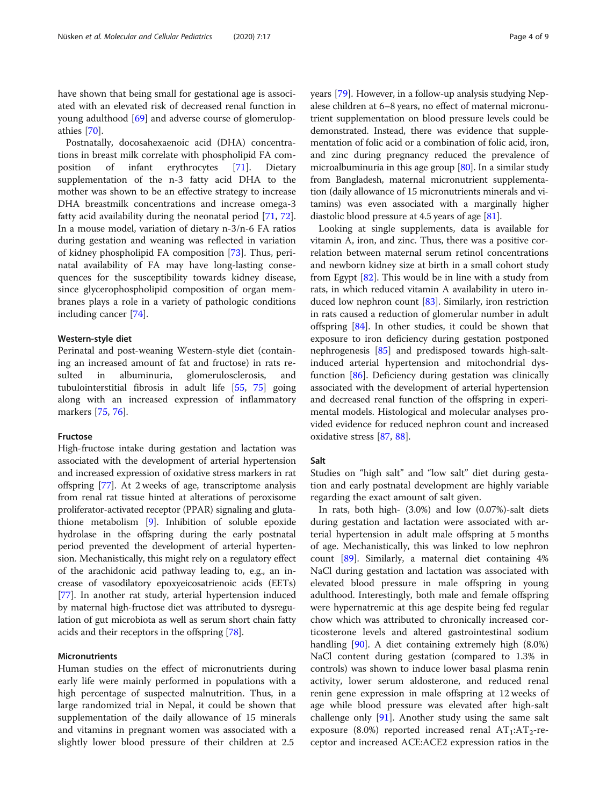have shown that being small for gestational age is associated with an elevated risk of decreased renal function in young adulthood [\[69](#page-7-0)] and adverse course of glomerulopathies [\[70](#page-7-0)].

Postnatally, docosahexaenoic acid (DHA) concentrations in breast milk correlate with phospholipid FA composition of infant erythrocytes [\[71](#page-7-0)]. Dietary supplementation of the n-3 fatty acid DHA to the mother was shown to be an effective strategy to increase DHA breastmilk concentrations and increase omega-3 fatty acid availability during the neonatal period [\[71](#page-7-0), [72](#page-7-0)]. In a mouse model, variation of dietary n-3/n-6 FA ratios during gestation and weaning was reflected in variation of kidney phospholipid FA composition [\[73](#page-7-0)]. Thus, perinatal availability of FA may have long-lasting consequences for the susceptibility towards kidney disease, since glycerophospholipid composition of organ membranes plays a role in a variety of pathologic conditions including cancer [[74](#page-7-0)].

# Western-style diet

Perinatal and post-weaning Western-style diet (containing an increased amount of fat and fructose) in rats resulted in albuminuria, glomerulosclerosis, and tubulointerstitial fibrosis in adult life [\[55](#page-6-0), [75](#page-7-0)] going along with an increased expression of inflammatory markers [[75,](#page-7-0) [76\]](#page-7-0).

# Fructose

High-fructose intake during gestation and lactation was associated with the development of arterial hypertension and increased expression of oxidative stress markers in rat offspring [\[77](#page-7-0)]. At 2 weeks of age, transcriptome analysis from renal rat tissue hinted at alterations of peroxisome proliferator-activated receptor (PPAR) signaling and glutathione metabolism [[9\]](#page-5-0). Inhibition of soluble epoxide hydrolase in the offspring during the early postnatal period prevented the development of arterial hypertension. Mechanistically, this might rely on a regulatory effect of the arachidonic acid pathway leading to, e.g., an increase of vasodilatory epoxyeicosatrienoic acids (EETs) [[77](#page-7-0)]. In another rat study, arterial hypertension induced by maternal high-fructose diet was attributed to dysregulation of gut microbiota as well as serum short chain fatty acids and their receptors in the offspring [\[78](#page-7-0)].

# Micronutrients

Human studies on the effect of micronutrients during early life were mainly performed in populations with a high percentage of suspected malnutrition. Thus, in a large randomized trial in Nepal, it could be shown that supplementation of the daily allowance of 15 minerals and vitamins in pregnant women was associated with a slightly lower blood pressure of their children at 2.5

years [\[79](#page-7-0)]. However, in a follow-up analysis studying Nepalese children at 6–8 years, no effect of maternal micronutrient supplementation on blood pressure levels could be demonstrated. Instead, there was evidence that supplementation of folic acid or a combination of folic acid, iron, and zinc during pregnancy reduced the prevalence of microalbuminuria in this age group [[80\]](#page-7-0). In a similar study from Bangladesh, maternal micronutrient supplementation (daily allowance of 15 micronutrients minerals and vitamins) was even associated with a marginally higher diastolic blood pressure at 4.5 years of age [[81](#page-7-0)].

Looking at single supplements, data is available for vitamin A, iron, and zinc. Thus, there was a positive correlation between maternal serum retinol concentrations and newborn kidney size at birth in a small cohort study from Egypt [[82\]](#page-7-0). This would be in line with a study from rats, in which reduced vitamin A availability in utero induced low nephron count [\[83](#page-7-0)]. Similarly, iron restriction in rats caused a reduction of glomerular number in adult offspring [\[84](#page-7-0)]. In other studies, it could be shown that exposure to iron deficiency during gestation postponed nephrogenesis [\[85\]](#page-7-0) and predisposed towards high-saltinduced arterial hypertension and mitochondrial dysfunction [\[86](#page-7-0)]. Deficiency during gestation was clinically associated with the development of arterial hypertension and decreased renal function of the offspring in experimental models. Histological and molecular analyses provided evidence for reduced nephron count and increased oxidative stress [\[87,](#page-7-0) [88\]](#page-7-0).

# Salt

Studies on "high salt" and "low salt" diet during gestation and early postnatal development are highly variable regarding the exact amount of salt given.

In rats, both high- (3.0%) and low (0.07%)-salt diets during gestation and lactation were associated with arterial hypertension in adult male offspring at 5 months of age. Mechanistically, this was linked to low nephron count [\[89](#page-7-0)]. Similarly, a maternal diet containing 4% NaCl during gestation and lactation was associated with elevated blood pressure in male offspring in young adulthood. Interestingly, both male and female offspring were hypernatremic at this age despite being fed regular chow which was attributed to chronically increased corticosterone levels and altered gastrointestinal sodium handling [[90\]](#page-7-0). A diet containing extremely high (8.0%) NaCl content during gestation (compared to 1.3% in controls) was shown to induce lower basal plasma renin activity, lower serum aldosterone, and reduced renal renin gene expression in male offspring at 12 weeks of age while blood pressure was elevated after high-salt challenge only [\[91\]](#page-7-0). Another study using the same salt exposure (8.0%) reported increased renal  $AT_1:AT_2$ -receptor and increased ACE:ACE2 expression ratios in the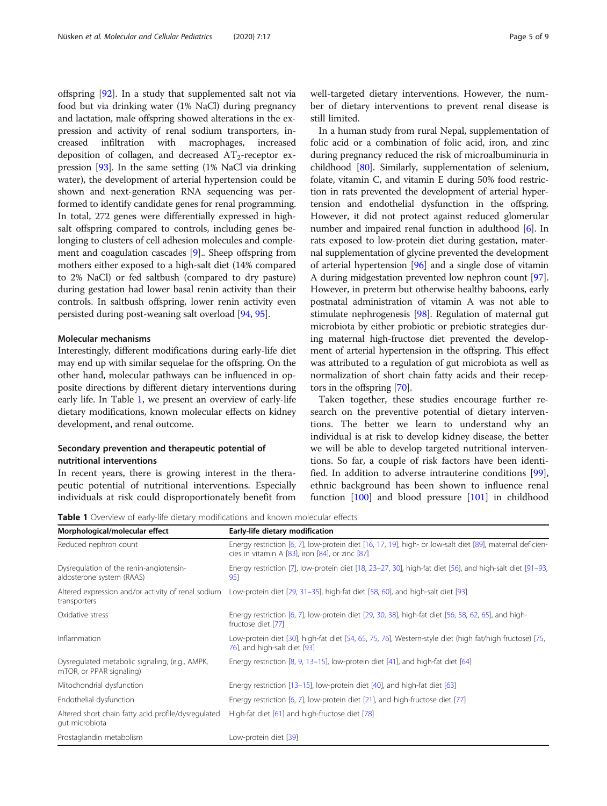offspring [\[92\]](#page-7-0). In a study that supplemented salt not via food but via drinking water (1% NaCl) during pregnancy and lactation, male offspring showed alterations in the expression and activity of renal sodium transporters, increased infiltration with macrophages, increased deposition of collagen, and decreased  $AT_2$ -receptor expression [[93](#page-7-0)]. In the same setting (1% NaCl via drinking water), the development of arterial hypertension could be shown and next-generation RNA sequencing was performed to identify candidate genes for renal programming. In total, 272 genes were differentially expressed in highsalt offspring compared to controls, including genes belonging to clusters of cell adhesion molecules and complement and coagulation cascades [\[9](#page-5-0)].. Sheep offspring from mothers either exposed to a high-salt diet (14% compared to 2% NaCl) or fed saltbush (compared to dry pasture) during gestation had lower basal renin activity than their controls. In saltbush offspring, lower renin activity even persisted during post-weaning salt overload [\[94,](#page-7-0) [95](#page-7-0)].

# Molecular mechanisms

Interestingly, different modifications during early-life diet may end up with similar sequelae for the offspring. On the other hand, molecular pathways can be influenced in opposite directions by different dietary interventions during early life. In Table 1, we present an overview of early-life dietary modifications, known molecular effects on kidney development, and renal outcome.

# Secondary prevention and therapeutic potential of nutritional interventions

In recent years, there is growing interest in the therapeutic potential of nutritional interventions. Especially individuals at risk could disproportionately benefit from well-targeted dietary interventions. However, the number of dietary interventions to prevent renal disease is still limited.

In a human study from rural Nepal, supplementation of folic acid or a combination of folic acid, iron, and zinc during pregnancy reduced the risk of microalbuminuria in childhood [\[80\]](#page-7-0). Similarly, supplementation of selenium, folate, vitamin C, and vitamin E during 50% food restriction in rats prevented the development of arterial hypertension and endothelial dysfunction in the offspring. However, it did not protect against reduced glomerular number and impaired renal function in adulthood [\[6](#page-5-0)]. In rats exposed to low-protein diet during gestation, maternal supplementation of glycine prevented the development of arterial hypertension [\[96\]](#page-7-0) and a single dose of vitamin A during midgestation prevented low nephron count [[97](#page-7-0)]. However, in preterm but otherwise healthy baboons, early postnatal administration of vitamin A was not able to stimulate nephrogenesis [\[98\]](#page-8-0). Regulation of maternal gut microbiota by either probiotic or prebiotic strategies during maternal high-fructose diet prevented the development of arterial hypertension in the offspring. This effect was attributed to a regulation of gut microbiota as well as normalization of short chain fatty acids and their receptors in the offspring [[70](#page-7-0)].

Taken together, these studies encourage further research on the preventive potential of dietary interventions. The better we learn to understand why an individual is at risk to develop kidney disease, the better we will be able to develop targeted nutritional interventions. So far, a couple of risk factors have been identified. In addition to adverse intrauterine conditions [\[99](#page-8-0)], ethnic background has been shown to influence renal function [\[100](#page-8-0)] and blood pressure [[101](#page-8-0)] in childhood

**Table 1** Overview of early-life dietary modifications and known molecular effects

| Morphological/molecular effect                                             | Early-life dietary modification                                                                                                                                      |
|----------------------------------------------------------------------------|----------------------------------------------------------------------------------------------------------------------------------------------------------------------|
| Reduced nephron count                                                      | Energy restriction [6, 7], low-protein diet [16, 17, 19], high- or low-salt diet [89], maternal deficien-<br>cies in vitamin A $[83]$ , iron $[84]$ , or zinc $[87]$ |
| Dysregulation of the renin-angiotensin-<br>aldosterone system (RAAS)       | Energy restriction [7], low-protein diet [18, 23–27, 30], high-fat diet [56], and high-salt diet [91–93,<br>951                                                      |
| Altered expression and/or activity of renal sodium<br>transporters         | Low-protein diet $[29, 31-35]$ , high-fat diet $[58, 60]$ , and high-salt diet $[93]$                                                                                |
| Oxidative stress                                                           | Energy restriction [6, 7], low-protein diet [29, 30, 38], high-fat diet [56, 58, 62, 65], and high-<br>fructose diet [77]                                            |
| Inflammation                                                               | Low-protein diet [30], high-fat diet [54, 65, 75, 76], Western-style diet (high fat/high fructose) [75,<br>76], and high-salt diet [93]                              |
| Dysregulated metabolic signaling, (e.g., AMPK,<br>mTOR, or PPAR signaling) | Energy restriction $[8, 9, 13-15]$ , low-protein diet $[41]$ , and high-fat diet $[64]$                                                                              |
| Mitochondrial dysfunction                                                  | Energy restriction [13–15], low-protein diet [40], and high-fat diet [63]                                                                                            |
| Endothelial dysfunction                                                    | Energy restriction [6, 7], low-protein diet [21], and high-fructose diet [77]                                                                                        |
| Altered short chain fatty acid profile/dysregulated<br>gut microbiota      | High-fat diet [61] and high-fructose diet [78]                                                                                                                       |
| Prostaglandin metabolism                                                   | Low-protein diet [39]                                                                                                                                                |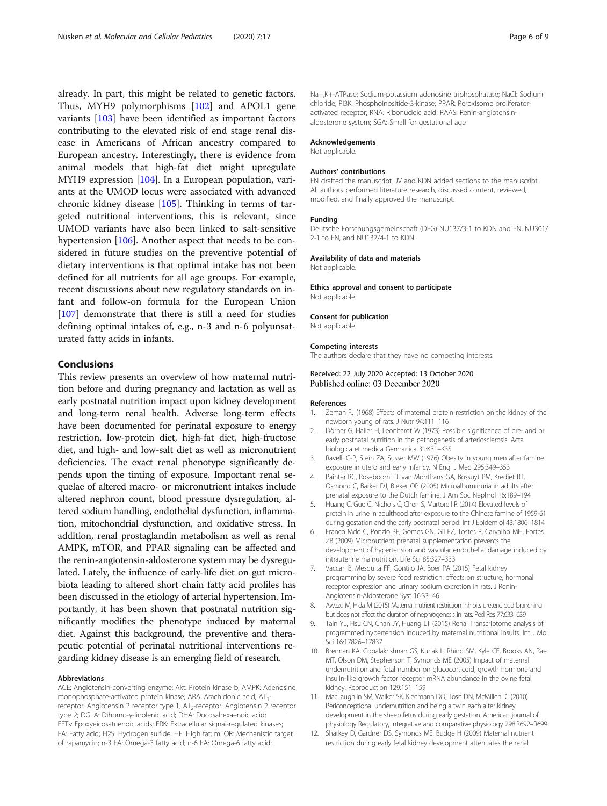<span id="page-5-0"></span>already. In part, this might be related to genetic factors. Thus, MYH9 polymorphisms [[102\]](#page-8-0) and APOL1 gene variants [[103](#page-8-0)] have been identified as important factors contributing to the elevated risk of end stage renal disease in Americans of African ancestry compared to European ancestry. Interestingly, there is evidence from animal models that high-fat diet might upregulate MYH9 expression [\[104\]](#page-8-0). In a European population, variants at the UMOD locus were associated with advanced chronic kidney disease [[105](#page-8-0)]. Thinking in terms of targeted nutritional interventions, this is relevant, since UMOD variants have also been linked to salt-sensitive hypertension [[106](#page-8-0)]. Another aspect that needs to be considered in future studies on the preventive potential of dietary interventions is that optimal intake has not been defined for all nutrients for all age groups. For example, recent discussions about new regulatory standards on infant and follow-on formula for the European Union [[107\]](#page-8-0) demonstrate that there is still a need for studies defining optimal intakes of, e.g., n-3 and n-6 polyunsaturated fatty acids in infants.

# Conclusions

This review presents an overview of how maternal nutrition before and during pregnancy and lactation as well as early postnatal nutrition impact upon kidney development and long-term renal health. Adverse long-term effects have been documented for perinatal exposure to energy restriction, low-protein diet, high-fat diet, high-fructose diet, and high- and low-salt diet as well as micronutrient deficiencies. The exact renal phenotype significantly depends upon the timing of exposure. Important renal sequelae of altered macro- or micronutrient intakes include altered nephron count, blood pressure dysregulation, altered sodium handling, endothelial dysfunction, inflammation, mitochondrial dysfunction, and oxidative stress. In addition, renal prostaglandin metabolism as well as renal AMPK, mTOR, and PPAR signaling can be affected and the renin-angiotensin-aldosterone system may be dysregulated. Lately, the influence of early-life diet on gut microbiota leading to altered short chain fatty acid profiles has been discussed in the etiology of arterial hypertension. Importantly, it has been shown that postnatal nutrition significantly modifies the phenotype induced by maternal diet. Against this background, the preventive and therapeutic potential of perinatal nutritional interventions regarding kidney disease is an emerging field of research.

#### Abbreviations

ACE: Angiotensin-converting enzyme; Akt: Protein kinase b; AMPK: Adenosine monophosphate-activated protein kinase; ARA: Arachidonic acid; AT<sub>1</sub>receptor: Angiotensin 2 receptor type 1; AT<sub>2</sub>-receptor: Angiotensin 2 receptor type 2; DGLA: Dihomo-γ-linolenic acid; DHA: Docosahexaenoic acid; EETs: Epoxyeicosatrienoic acids; ERK: Extracellular signal-regulated kinases; FA: Fatty acid; H2S: Hydrogen sulfide; HF: High fat; mTOR: Mechanistic target of rapamycin; n-3 FA: Omega-3 fatty acid; n-6 FA: Omega-6 fatty acid;

Na+,K+-ATPase: Sodium-potassium adenosine triphosphatase; NaCl: Sodium chloride; PI3K: Phosphoinositide-3-kinase; PPAR: Peroxisome proliferatoractivated receptor; RNA: Ribonucleic acid; RAAS: Renin-angiotensinaldosterone system; SGA: Small for gestational age

### Acknowledgements

Not applicable.

#### Authors' contributions

EN drafted the manuscript. JV and KDN added sections to the manuscript. All authors performed literature research, discussed content, reviewed, modified, and finally approved the manuscript.

#### Funding

Deutsche Forschungsgemeinschaft (DFG) NU137/3-1 to KDN and EN, NU301/ 2-1 to EN, and NU137/4-1 to KDN.

#### Availability of data and materials

Not applicable.

Ethics approval and consent to participate Not applicable.

#### Consent for publication

Not applicable.

### Competing interests

The authors declare that they have no competing interests.

# Received: 22 July 2020 Accepted: 13 October 2020 Published online: 03 December 2020

#### References

- 1. Zeman FJ (1968) Effects of maternal protein restriction on the kidney of the newborn young of rats. J Nutr 94:111–116
- 2. Dörner G, Haller H, Leonhardt W (1973) Possible significance of pre- and or early postnatal nutrition in the pathogenesis of arteriosclerosis. Acta biologica et medica Germanica 31:K31–K35
- 3. Ravelli G-P, Stein ZA, Susser MW (1976) Obesity in young men after famine exposure in utero and early infancy. N Engl J Med 295:349–353
- 4. Painter RC, Roseboom TJ, van Montfrans GA, Bossuyt PM, Krediet RT, Osmond C, Barker DJ, Bleker OP (2005) Microalbuminuria in adults after prenatal exposure to the Dutch famine. J Am Soc Nephrol 16:189–194
- 5. Huang C, Guo C, Nichols C, Chen S, Martorell R (2014) Elevated levels of protein in urine in adulthood after exposure to the Chinese famine of 1959-61 during gestation and the early postnatal period. Int J Epidemiol 43:1806–1814
- 6. Franco Mdo C, Ponzio BF, Gomes GN, Gil FZ, Tostes R, Carvalho MH, Fortes ZB (2009) Micronutrient prenatal supplementation prevents the development of hypertension and vascular endothelial damage induced by intrauterine malnutrition. Life Sci 85:327–333
- 7. Vaccari B, Mesquita FF, Gontijo JA, Boer PA (2015) Fetal kidney programming by severe food restriction: effects on structure, hormonal receptor expression and urinary sodium excretion in rats. J Renin-Angiotensin-Aldosterone Syst 16:33–46
- 8. Awazu M, Hida M (2015) Maternal nutrient restriction inhibits ureteric bud branching but does not affect the duration of nephrogenesis in rats. Ped Res 77:633–639
- 9. Tain YL, Hsu CN, Chan JY, Huang LT (2015) Renal Transcriptome analysis of programmed hypertension induced by maternal nutritional insults. Int J Mol Sci 16:17826–17837
- 10. Brennan KA, Gopalakrishnan GS, Kurlak L, Rhind SM, Kyle CE, Brooks AN, Rae MT, Olson DM, Stephenson T, Symonds ME (2005) Impact of maternal undernutrition and fetal number on glucocorticoid, growth hormone and insulin-like growth factor receptor mRNA abundance in the ovine fetal kidney. Reproduction 129:151–159
- 11. MacLaughlin SM, Walker SK, Kleemann DO, Tosh DN, McMillen IC (2010) Periconceptional undernutrition and being a twin each alter kidney development in the sheep fetus during early gestation. American journal of physiology Regulatory, integrative and comparative physiology 298:R692–R699
- 12. Sharkey D, Gardner DS, Symonds ME, Budge H (2009) Maternal nutrient restriction during early fetal kidney development attenuates the renal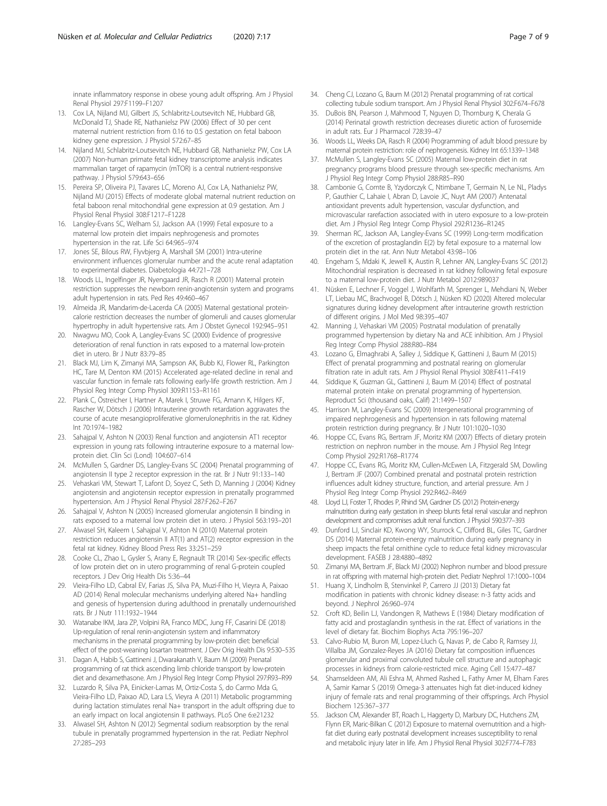<span id="page-6-0"></span>innate inflammatory response in obese young adult offspring. Am J Physiol Renal Physiol 297:F1199–F1207

- 13. Cox LA, Nijland MJ, Gilbert JS, Schlabritz-Loutsevitch NE, Hubbard GB, McDonald TJ, Shade RE, Nathanielsz PW (2006) Effect of 30 per cent maternal nutrient restriction from 0.16 to 0.5 gestation on fetal baboon kidney gene expression. J Physiol 572:67–85
- 14. Nijland MJ, Schlabritz-Loutsevitch NE, Hubbard GB, Nathanielsz PW, Cox LA (2007) Non-human primate fetal kidney transcriptome analysis indicates mammalian target of rapamycin (mTOR) is a central nutrient-responsive pathway. J Physiol 579:643–656
- 15. Pereira SP, Oliveira PJ, Tavares LC, Moreno AJ, Cox LA, Nathanielsz PW, Nijland MJ (2015) Effects of moderate global maternal nutrient reduction on fetal baboon renal mitochondrial gene expression at 0.9 gestation. Am J Physiol Renal Physiol 308:F1217–F1228
- 16. Langley-Evans SC, Welham SJ, Jackson AA (1999) Fetal exposure to a maternal low protein diet impairs nephrogenesis and promotes hypertension in the rat. Life Sci 64:965–974
- 17. Jones SE, Bilous RW, Flyvbjerg A, Marshall SM (2001) Intra-uterine environment influences glomerular number and the acute renal adaptation to experimental diabetes. Diabetologia 44:721–728
- 18. Woods LL, Ingelfinger JR, Nyengaard JR, Rasch R (2001) Maternal protein restriction suppresses the newborn renin-angiotensin system and programs adult hypertension in rats. Ped Res 49:460–467
- 19. Almeida JR, Mandarim-de-Lacerda CA (2005) Maternal gestational proteincalorie restriction decreases the number of glomeruli and causes glomerular hypertrophy in adult hypertensive rats. Am J Obstet Gynecol 192:945–951
- 20. Nwagwu MO, Cook A, Langley-Evans SC (2000) Evidence of progressive deterioration of renal function in rats exposed to a maternal low-protein diet in utero. Br J Nutr 83:79–85
- 21. Black MJ, Lim K, Zimanyi MA, Sampson AK, Bubb KJ, Flower RL, Parkington HC, Tare M, Denton KM (2015) Accelerated age-related decline in renal and vascular function in female rats following early-life growth restriction. Am J Physiol Reg Integr Comp Physiol 309:R1153–R1161
- 22. Plank C, Östreicher I, Hartner A, Marek I, Struwe FG, Amann K, Hilgers KF, Rascher W, Dötsch J (2006) Intrauterine growth retardation aggravates the course of acute mesangioproliferative glomerulonephritis in the rat. Kidney Int 70:1974–1982
- 23. Sahajpal V, Ashton N (2003) Renal function and angiotensin AT1 receptor expression in young rats following intrauterine exposure to a maternal lowprotein diet. Clin Sci (Lond) 104:607–614
- 24. McMullen S, Gardner DS, Langley-Evans SC (2004) Prenatal programming of angiotensin II type 2 receptor expression in the rat. Br J Nutr 91:133–140
- 25. Vehaskari VM, Stewart T, Lafont D, Soyez C, Seth D, Manning J (2004) Kidney angiotensin and angiotensin receptor expression in prenatally programmed hypertension. Am J Physiol Renal Physiol 287:F262–F267
- 26. Sahajpal V, Ashton N (2005) Increased glomerular angiotensin II binding in rats exposed to a maternal low protein diet in utero. J Physiol 563:193–201
- 27. Alwasel SH, Kaleem I, Sahajpal V, Ashton N (2010) Maternal protein restriction reduces angiotensin II AT(1) and AT(2) receptor expression in the fetal rat kidney. Kidney Blood Press Res 33:251–259
- 28. Cooke CL, Zhao L, Gysler S, Arany E, Regnault TR (2014) Sex-specific effects of low protein diet on in utero programming of renal G-protein coupled receptors. J Dev Orig Health Dis 5:36–44
- 29. Vieira-Filho LD, Cabral EV, Farias JS, Silva PA, Muzi-Filho H, Vieyra A, Paixao AD (2014) Renal molecular mechanisms underlying altered Na+ handling and genesis of hypertension during adulthood in prenatally undernourished rats. Br J Nutr 111:1932–1944
- 30. Watanabe IKM, Jara ZP, Volpini RA, Franco MDC, Jung FF, Casarini DE (2018) Up-regulation of renal renin-angiotensin system and inflammatory mechanisms in the prenatal programming by low-protein diet: beneficial effect of the post-weaning losartan treatment. J Dev Orig Health Dis 9:530–535
- 31. Dagan A, Habib S, Gattineni J, Dwarakanath V, Baum M (2009) Prenatal programming of rat thick ascending limb chloride transport by low-protein diet and dexamethasone. Am J Physiol Reg Integr Comp Physiol 297:R93–R99
- 32. Luzardo R, Silva PA, Einicker-Lamas M, Ortiz-Costa S, do Carmo Mda G, Vieira-Filho LD, Paixao AD, Lara LS, Vieyra A (2011) Metabolic programming during lactation stimulates renal Na+ transport in the adult offspring due to an early impact on local angiotensin II pathways. PLoS One 6:e21232
- 33. Alwasel SH, Ashton N (2012) Segmental sodium reabsorption by the renal tubule in prenatally programmed hypertension in the rat. Pediatr Nephrol 27:285–293
- 34. Cheng CJ, Lozano G, Baum M (2012) Prenatal programming of rat cortical collecting tubule sodium transport. Am J Physiol Renal Physiol 302:F674–F678
- 35. DuBois BN, Pearson J, Mahmood T, Nguyen D, Thornburg K, Cherala G (2014) Perinatal growth restriction decreases diuretic action of furosemide in adult rats. Eur J Pharmacol 728:39–47
- 36. Woods LL, Weeks DA, Rasch R (2004) Programming of adult blood pressure by maternal protein restriction: role of nephrogenesis. Kidney Int 65:1339–1348
- 37. McMullen S, Langley-Evans SC (2005) Maternal low-protein diet in rat pregnancy programs blood pressure through sex-specific mechanisms. Am J Physiol Reg Integr Comp Physiol 288:R85–R90
- 38. Cambonie G, Comte B, Yzydorczyk C, Ntimbane T, Germain N, Le NL, Pladys P, Gauthier C, Lahaie I, Abran D, Lavoie JC, Nuyt AM (2007) Antenatal antioxidant prevents adult hypertension, vascular dysfunction, and microvascular rarefaction associated with in utero exposure to a low-protein diet. Am J Physiol Reg Integr Comp Physiol 292:R1236–R1245
- 39. Sherman RC, Jackson AA, Langley-Evans SC (1999) Long-term modification of the excretion of prostaglandin E(2) by fetal exposure to a maternal low protein diet in the rat. Ann Nutr Metabol 43:98–106
- 40. Engeham S, Mdaki K, Jewell K, Austin R, Lehner AN, Langley-Evans SC (2012) Mitochondrial respiration is decreased in rat kidney following fetal exposure to a maternal low-protein diet. J Nutr Metabol 2012:989037
- 41. Nüsken E, Lechner F, Voggel J, Wohlfarth M, Sprenger L, Mehdiani N, Weber LT, Liebau MC, Brachvogel B, Dötsch J, Nüsken KD (2020) Altered molecular signatures during kidney development after intrauterine growth restriction of different origins. J Mol Med 98:395–407
- 42. Manning J, Vehaskari VM (2005) Postnatal modulation of prenatally programmed hypertension by dietary Na and ACE inhibition. Am J Physiol Reg Integr Comp Physiol 288:R80–R84
- 43. Lozano G, Elmaghrabi A, Salley J, Siddique K, Gattineni J, Baum M (2015) Effect of prenatal programming and postnatal rearing on glomerular filtration rate in adult rats. Am J Physiol Renal Physiol 308:F411–F419
- 44. Siddique K, Guzman GL, Gattineni J, Baum M (2014) Effect of postnatal maternal protein intake on prenatal programming of hypertension. Reproduct Sci (thousand oaks, Calif) 21:1499–1507
- 45. Harrison M, Langley-Evans SC (2009) Intergenerational programming of impaired nephrogenesis and hypertension in rats following maternal protein restriction during pregnancy. Br J Nutr 101:1020–1030
- 46. Hoppe CC, Evans RG, Bertram JF, Moritz KM (2007) Effects of dietary protein restriction on nephron number in the mouse. Am J Physiol Reg Integr Comp Physiol 292:R1768–R1774
- 47. Hoppe CC, Evans RG, Moritz KM, Cullen-McEwen LA, Fitzgerald SM, Dowling J, Bertram JF (2007) Combined prenatal and postnatal protein restriction influences adult kidney structure, function, and arterial pressure. Am J Physiol Reg Integr Comp Physiol 292:R462–R469
- 48. Lloyd LJ, Foster T, Rhodes P, Rhind SM, Gardner DS (2012) Protein-energy malnutrition during early gestation in sheep blunts fetal renal vascular and nephron development and compromises adult renal function. J Physiol 590:377–393
- 49. Dunford LJ, Sinclair KD, Kwong WY, Sturrock C, Clifford BL, Giles TC, Gardner DS (2014) Maternal protein-energy malnutrition during early pregnancy in sheep impacts the fetal ornithine cycle to reduce fetal kidney microvascular development. FASEB J 28:4880–4892
- 50. Zimanyi MA, Bertram JF, Black MJ (2002) Nephron number and blood pressure in rat offspring with maternal high-protein diet. Pediatr Nephrol 17:1000–1004
- 51. Huang X, Lindholm B, Stenvinkel P, Carrero JJ (2013) Dietary fat modification in patients with chronic kidney disease: n-3 fatty acids and beyond. J Nephrol 26:960–974
- 52. Croft KD, Beilin LJ, Vandongen R, Mathews E (1984) Dietary modification of fatty acid and prostaglandin synthesis in the rat. Effect of variations in the level of dietary fat. Biochim Biophys Acta 795:196–207
- 53. Calvo-Rubio M, Buron MI, Lopez-Lluch G, Navas P, de Cabo R, Ramsey JJ, Villalba JM, Gonzalez-Reyes JA (2016) Dietary fat composition influences glomerular and proximal convoluted tubule cell structure and autophagic processes in kidneys from calorie-restricted mice. Aging Cell 15:477–487
- 54. Shamseldeen AM, Ali Eshra M, Ahmed Rashed L, Fathy Amer M, Elham Fares A, Samir Kamar S (2019) Omega-3 attenuates high fat diet-induced kidney injury of female rats and renal programming of their offsprings. Arch Physiol Biochem 125:367–377
- 55. Jackson CM, Alexander BT, Roach L, Haggerty D, Marbury DC, Hutchens ZM, Flynn ER, Maric-Bilkan C (2012) Exposure to maternal overnutrition and a highfat diet during early postnatal development increases susceptibility to renal and metabolic injury later in life. Am J Physiol Renal Physiol 302:F774–F783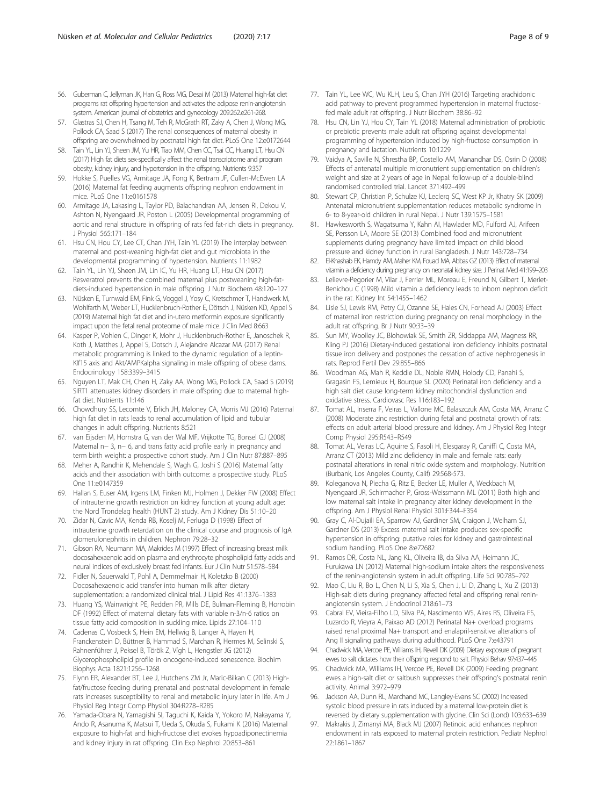- <span id="page-7-0"></span>56. Guberman C, Jellyman JK, Han G, Ross MG, Desai M (2013) Maternal high-fat diet programs rat offspring hypertension and activates the adipose renin-angiotensin system. American journal of obstetrics and gynecology 209:262.e261-268.
- 57. Glastras SJ, Chen H, Tsang M, Teh R, McGrath RT, Zaky A, Chen J, Wong MG, Pollock CA, Saad S (2017) The renal consequences of maternal obesity in offspring are overwhelmed by postnatal high fat diet. PLoS One 12:e0172644
- 58. Tain YL, Lin YJ, Sheen JM, Yu HR, Tiao MM, Chen CC, Tsai CC, Huang LT, Hsu CN (2017) High fat diets sex-specifically affect the renal transcriptome and program obesity, kidney injury, and hypertension in the offspring. Nutrients 9:357
- 59. Hokke S, Puelles VG, Armitage JA, Fong K, Bertram JF, Cullen-McEwen LA (2016) Maternal fat feeding augments offspring nephron endowment in mice. PLoS One 11:e0161578
- 60. Armitage JA, Lakasing L, Taylor PD, Balachandran AA, Jensen RI, Dekou V, Ashton N, Nyengaard JR, Poston L (2005) Developmental programming of aortic and renal structure in offspring of rats fed fat-rich diets in pregnancy. J Physiol 565:171–184
- 61. Hsu CN, Hou CY, Lee CT, Chan JYH, Tain YL (2019) The interplay between maternal and post-weaning high-fat diet and gut microbiota in the developmental programming of hypertension. Nutrients 11:1982
- 62. Tain YL, Lin YJ, Sheen JM, Lin IC, Yu HR, Huang LT, Hsu CN (2017) Resveratrol prevents the combined maternal plus postweaning high-fatdiets-induced hypertension in male offspring. J Nutr Biochem 48:120–127
- 63. Nüsken E, Turnwald EM, Fink G, Voggel J, Yosy C, Kretschmer T, Handwerk M, Wohlfarth M, Weber LT, Hucklenbruch-Rother E, Dötsch J, Nüsken KD, Appel S (2019) Maternal high fat diet and in-utero metformin exposure significantly impact upon the fetal renal proteome of male mice. J Clin Med 8:663
- 64. Kasper P, Vohlen C, Dinger K, Mohr J, Hucklenbruch-Rother E, Janoschek R, Koth J, Matthes J, Appel S, Dotsch J, Alejandre Alcazar MA (2017) Renal metabolic programming is linked to the dynamic regulation of a leptin-Klf15 axis and Akt/AMPKalpha signaling in male offspring of obese dams. Endocrinology 158:3399–3415
- 65. Nguyen LT, Mak CH, Chen H, Zaky AA, Wong MG, Pollock CA, Saad S (2019) SIRT1 attenuates kidney disorders in male offspring due to maternal highfat diet. Nutrients 11:146
- 66. Chowdhury SS, Lecomte V, Erlich JH, Maloney CA, Morris MJ (2016) Paternal high fat diet in rats leads to renal accumulation of lipid and tubular changes in adult offspring. Nutrients 8:521
- 67. van Eijsden M, Hornstra G, van der Wal MF, Vrijkotte TG, Bonsel GJ (2008) Maternal n− 3, n− 6, and trans fatty acid profile early in pregnancy and term birth weight: a prospective cohort study. Am J Clin Nutr 87:887–895
- 68. Meher A, Randhir K, Mehendale S, Wagh G, Joshi S (2016) Maternal fatty acids and their association with birth outcome: a prospective study. PLoS One 11:e0147359
- 69. Hallan S, Euser AM, Irgens LM, Finken MJ, Holmen J, Dekker FW (2008) Effect of intrauterine growth restriction on kidney function at young adult age: the Nord Trondelag health (HUNT 2) study. Am J Kidney Dis 51:10–20
- 70. Zidar N, Cavic MA, Kenda RB, Koselj M, Ferluga D (1998) Effect of intrauterine growth retardation on the clinical course and prognosis of IgA glomerulonephritis in children. Nephron 79:28–32
- 71. Gibson RA, Neumann MA, Makrides M (1997) Effect of increasing breast milk docosahexaenoic acid on plasma and erythrocyte phospholipid fatty acids and neural indices of exclusively breast fed infants. Eur J Clin Nutr 51:578–584
- 72. Fidler N, Sauerwald T, Pohl A, Demmelmair H, Koletzko B (2000) Docosahexaenoic acid transfer into human milk after dietary supplementation: a randomized clinical trial. J Lipid Res 41:1376–1383
- 73. Huang YS, Wainwright PE, Redden PR, Mills DE, Bulman-Fleming B, Horrobin DF (1992) Effect of maternal dietary fats with variable n-3/n-6 ratios on tissue fatty acid composition in suckling mice. Lipids 27:104–110
- 74. Cadenas C, Vosbeck S, Hein EM, Hellwig B, Langer A, Hayen H, Franckenstein D, Büttner B, Hammad S, Marchan R, Hermes M, Selinski S, Rahnenführer J, Peksel B, Török Z, Vígh L, Hengstler JG (2012) Glycerophospholipid profile in oncogene-induced senescence. Biochim Biophys Acta 1821:1256–1268
- 75. Flynn ER, Alexander BT, Lee J, Hutchens ZM Jr, Maric-Bilkan C (2013) Highfat/fructose feeding during prenatal and postnatal development in female rats increases susceptibility to renal and metabolic injury later in life. Am J Physiol Reg Integr Comp Physiol 304:R278–R285
- 76. Yamada-Obara N, Yamagishi SI, Taguchi K, Kaida Y, Yokoro M, Nakayama Y, Ando R, Asanuma K, Matsui T, Ueda S, Okuda S, Fukami K (2016) Maternal exposure to high-fat and high-fructose diet evokes hypoadiponectinemia and kidney injury in rat offspring. Clin Exp Nephrol 20:853–861
- 77. Tain YL, Lee WC, Wu KLH, Leu S, Chan JYH (2016) Targeting arachidonic acid pathway to prevent programmed hypertension in maternal fructosefed male adult rat offspring. J Nutr Biochem 38:86–92
- 78. Hsu CN, Lin YJ, Hou CY, Tain YL (2018) Maternal administration of probiotic or prebiotic prevents male adult rat offspring against developmental programming of hypertension induced by high-fructose consumption in pregnancy and lactation. Nutrients 10:1229
- 79. Vaidya A, Saville N, Shrestha BP, Costello AM, Manandhar DS, Osrin D (2008) Effects of antenatal multiple micronutrient supplementation on children's weight and size at 2 years of age in Nepal: follow-up of a double-blind randomised controlled trial. Lancet 371:492–499
- 80. Stewart CP, Christian P, Schulze KJ, Leclerq SC, West KP Jr, Khatry SK (2009) Antenatal micronutrient supplementation reduces metabolic syndrome in 6- to 8-year-old children in rural Nepal. J Nutr 139:1575–1581
- 81. Hawkesworth S, Wagatsuma Y, Kahn AI, Hawlader MD, Fulford AJ, Arifeen SE, Persson LA, Moore SE (2013) Combined food and micronutrient supplements during pregnancy have limited impact on child blood pressure and kidney function in rural Bangladesh. J Nutr 143:728–734
- 82. El-Khashab EK, Hamdy AM, Maher KM, Fouad MA, Abbas GZ (2013) Effect of maternal vitamin a deficiency during pregnancy on neonatal kidney size. J Perinat Med 41:199–203
- 83. Lelievre-Pegorier M, Vilar J, Ferrier ML, Moreau E, Freund N, Gilbert T, Merlet-Benichou C (1998) Mild vitamin a deficiency leads to inborn nephron deficit in the rat. Kidney Int 54:1455–1462
- 84. Lisle SJ, Lewis RM, Petry CJ, Ozanne SE, Hales CN, Forhead AJ (2003) Effect of maternal iron restriction during pregnancy on renal morphology in the adult rat offspring. Br J Nutr 90:33–39
- 85. Sun MY, Woolley JC, Blohowiak SE, Smith ZR, Siddappa AM, Magness RR, Kling PJ (2016) Dietary-induced gestational iron deficiency inhibits postnatal tissue iron delivery and postpones the cessation of active nephrogenesis in rats. Reprod Fertil Dev 29:855–866
- 86. Woodman AG, Mah R, Keddie DL, Noble RMN, Holody CD, Panahi S, Gragasin FS, Lemieux H, Bourque SL (2020) Perinatal iron deficiency and a high salt diet cause long-term kidney mitochondrial dysfunction and oxidative stress. Cardiovasc Res 116:183–192
- 87. Tomat AL, Inserra F, Veiras L, Vallone MC, Balaszczuk AM, Costa MA, Arranz C (2008) Moderate zinc restriction during fetal and postnatal growth of rats: effects on adult arterial blood pressure and kidney. Am J Physiol Reg Integr Comp Physiol 295:R543–R549
- 88. Tomat AL, Veiras LC, Aguirre S, Fasoli H, Elesgaray R, Caniffi C, Costa MA, Arranz CT (2013) Mild zinc deficiency in male and female rats: early postnatal alterations in renal nitric oxide system and morphology. Nutrition (Burbank, Los Angeles County, Calif) 29:568-573.
- Koleganova N, Piecha G, Ritz E, Becker LE, Muller A, Weckbach M, Nyengaard JR, Schirmacher P, Gross-Weissmann ML (2011) Both high and low maternal salt intake in pregnancy alter kidney development in the offspring. Am J Physiol Renal Physiol 301:F344–F354
- 90. Gray C, Al-Dujaili EA, Sparrow AJ, Gardiner SM, Craigon J, Welham SJ, Gardner DS (2013) Excess maternal salt intake produces sex-specific hypertension in offspring: putative roles for kidney and gastrointestinal sodium handling. PLoS One 8:e72682
- 91. Ramos DR, Costa NL, Jang KL, Oliveira IB, da Silva AA, Heimann JC, Furukawa LN (2012) Maternal high-sodium intake alters the responsiveness of the renin-angiotensin system in adult offspring. Life Sci 90:785–792
- 92. Mao C, Liu R, Bo L, Chen N, Li S, Xia S, Chen J, Li D, Zhang L, Xu Z (2013) High-salt diets during pregnancy affected fetal and offspring renal reninangiotensin system. J Endocrinol 218:61–73
- 93. Cabral EV, Vieira-Filho LD, Silva PA, Nascimento WS, Aires RS, Oliveira FS, Luzardo R, Vieyra A, Paixao AD (2012) Perinatal Na+ overload programs raised renal proximal Na+ transport and enalapril-sensitive alterations of Ang II signaling pathways during adulthood. PLoS One 7:e43791
- 94. Chadwick MA, Vercoe PE, Williams IH, Revell DK (2009) Dietary exposure of pregnant ewes to salt dictates how their offspring respond to salt. Physiol Behav 97:437–445
- 95. Chadwick MA, Williams IH, Vercoe PE, Revell DK (2009) Feeding pregnant ewes a high-salt diet or saltbush suppresses their offspring's postnatal renin activity. Animal 3:972–979
- 96. Jackson AA, Dunn RL, Marchand MC, Langley-Evans SC (2002) Increased systolic blood pressure in rats induced by a maternal low-protein diet is reversed by dietary supplementation with glycine. Clin Sci (Lond) 103:633–639
- 97. Makrakis J, Zimanyi MA, Black MJ (2007) Retinoic acid enhances nephron endowment in rats exposed to maternal protein restriction. Pediatr Nephrol 22:1861–1867